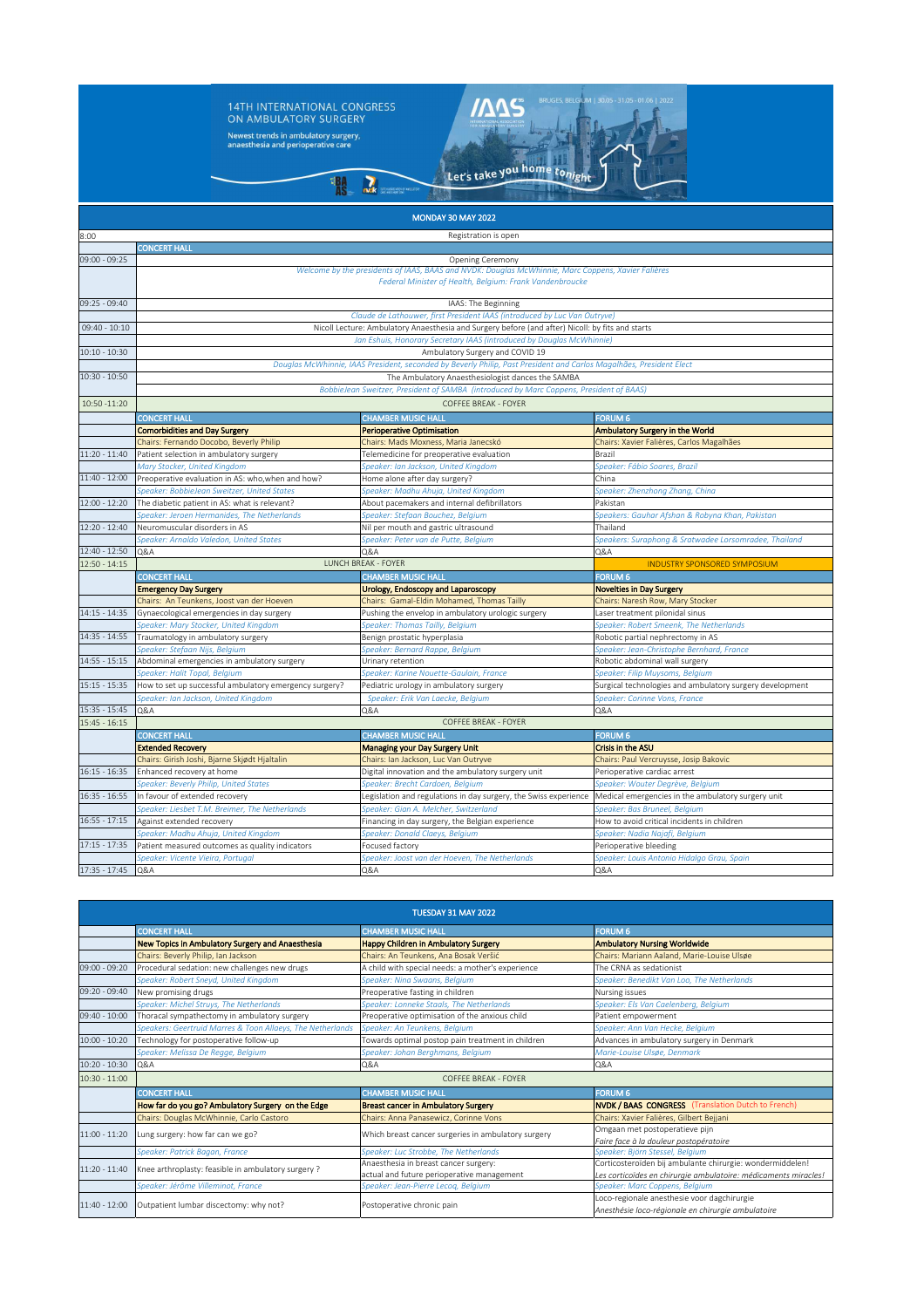

| TUESDAY 31 MAY 2022 |                                                            |                                                     |                                                                                                   |  |  |
|---------------------|------------------------------------------------------------|-----------------------------------------------------|---------------------------------------------------------------------------------------------------|--|--|
|                     | <b>CONCERT HALL</b>                                        | <b>CHAMBER MUSIC HALL</b>                           | <b>FORUM 6</b>                                                                                    |  |  |
|                     | New Topics in Ambulatory Surgery and Anaesthesia           | <b>Happy Children in Ambulatory Surgery</b>         | <b>Ambulatory Nursing Worldwide</b>                                                               |  |  |
|                     | Chairs: Beverly Philip, Ian Jackson                        | Chairs: An Teunkens, Ana Bosak Veršić               | Chairs: Mariann Aaland, Marie-Louise Ulsøe                                                        |  |  |
| 09:00 - 09:20       | Procedural sedation: new challenges new drugs              | A child with special needs: a mother's experience   | The CRNA as sedationist                                                                           |  |  |
|                     | Speaker: Robert Sneyd, United Kingdom                      | Speaker: Nina Swaans, Belgium                       | Speaker: Benedikt Van Loo, The Netherlands                                                        |  |  |
| 09:20 - 09:40       | New promising drugs                                        | Preoperative fasting in children                    | Nursing issues                                                                                    |  |  |
|                     | Speaker: Michel Struys, The Netherlands                    | Speaker: Lonneke Staals, The Netherlands            | Speaker: Els Van Caelenberg, Belgium                                                              |  |  |
| 09:40 - 10:00       | Thoracal sympathectomy in ambulatory surgery               | Preoperative optimisation of the anxious child      | Patient empowerment                                                                               |  |  |
|                     | Speakers: Geertruid Marres & Toon Allaeys, The Netherlands | Speaker: An Teunkens, Belgium                       | Speaker: Ann Van Hecke, Belgium                                                                   |  |  |
| $10:00 - 10:20$     | Technology for postoperative follow-up                     | Towards optimal postop pain treatment in children   | Advances in ambulatory surgery in Denmark                                                         |  |  |
|                     | Speaker: Melissa De Regge, Belgium                         | Speaker: Johan Berghmans, Belgium                   | Marie-Louise Ulsøe, Denmark                                                                       |  |  |
| $10:20 - 10:30$     | Q&A                                                        | Q&A                                                 | Q&A                                                                                               |  |  |
| $10:30 - 11:00$     | COFFFF BREAK - FOYER                                       |                                                     |                                                                                                   |  |  |
|                     | <b>CONCERT HALL</b>                                        | <b>CHAMBER MUSIC HALL</b>                           | <b>FORUM 6</b>                                                                                    |  |  |
|                     | How far do you go? Ambulatory Surgery on the Edge          | <b>Breast cancer in Ambulatory Surgery</b>          | <b>NVDK / BAAS CONGRESS</b> (Translation Dutch to French)                                         |  |  |
|                     | Chairs: Douglas McWhinnie, Carlo Castoro                   | Chairs: Anna Panasewicz, Corinne Vons               | Chairs: Xavier Falières, Gilbert Bejjani                                                          |  |  |
| $11:00 - 11:20$     | Lung surgery: how far can we go?                           | Which breast cancer surgeries in ambulatory surgery | Omgaan met postoperatieve pijn                                                                    |  |  |
|                     |                                                            |                                                     | Faire face à la douleur postopératoire                                                            |  |  |
|                     | Speaker: Patrick Bagan, France                             | Speaker: Luc Strobbe, The Netherlands               | Speaker: Björn Stessel, Belgium                                                                   |  |  |
| $11:20 - 11:40$     | Knee arthroplasty: feasible in ambulatory surgery ?        | Anaesthesia in breast cancer surgery:               | Corticosteroïden bij ambulante chirurgie: wondermiddelen!                                         |  |  |
|                     |                                                            | actual and future perioperative management          | Les corticoïdes en chirurgie ambulatoire: médicaments miracles!                                   |  |  |
|                     | Speaker: Jérôme Villeminot, France                         | Speaker: Jean-Pierre Lecoq, Belgium                 | Speaker: Marc Coppens, Belgium                                                                    |  |  |
| 11:40 - 12:00       | Outpatient lumbar discectomy: why not?                     | Postoperative chronic pain                          | Loco-regionale anesthesie voor dagchirurgie<br>Anesthésie loco-régionale en chirurgie ambulatoire |  |  |